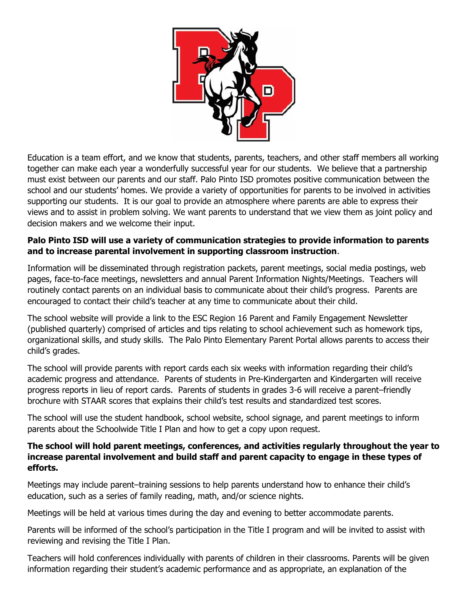

Education is a team effort, and we know that students, parents, teachers, and other staff members all working together can make each year a wonderfully successful year for our students. We believe that a partnership must exist between our parents and our staff. Palo Pinto ISD promotes positive communication between the school and our students' homes. We provide a variety of opportunities for parents to be involved in activities supporting our students. It is our goal to provide an atmosphere where parents are able to express their views and to assist in problem solving. We want parents to understand that we view them as joint policy and decision makers and we welcome their input.

## **Palo Pinto ISD will use a variety of communication strategies to provide information to parents and to increase parental involvement in supporting classroom instruction**.

Information will be disseminated through registration packets, parent meetings, social media postings, web pages, face-to-face meetings, newsletters and annual Parent Information Nights/Meetings. Teachers will routinely contact parents on an individual basis to communicate about their child's progress. Parents are encouraged to contact their child's teacher at any time to communicate about their child.

The school website will provide a link to the ESC Region 16 Parent and Family Engagement Newsletter (published quarterly) comprised of articles and tips relating to school achievement such as homework tips, organizational skills, and study skills. The Palo Pinto Elementary Parent Portal allows parents to access their child's grades.

The school will provide parents with report cards each six weeks with information regarding their child's academic progress and attendance. Parents of students in Pre-Kindergarten and Kindergarten will receive progress reports in lieu of report cards. Parents of students in grades 3-6 will receive a parent–friendly brochure with STAAR scores that explains their child's test results and standardized test scores.

The school will use the student handbook, school website, school signage, and parent meetings to inform parents about the Schoolwide Title I Plan and how to get a copy upon request.

## **The school will hold parent meetings, conferences, and activities regularly throughout the year to increase parental involvement and build staff and parent capacity to engage in these types of efforts.**

Meetings may include parent–training sessions to help parents understand how to enhance their child's education, such as a series of family reading, math, and/or science nights.

Meetings will be held at various times during the day and evening to better accommodate parents.

Parents will be informed of the school's participation in the Title I program and will be invited to assist with reviewing and revising the Title I Plan.

Teachers will hold conferences individually with parents of children in their classrooms. Parents will be given information regarding their student's academic performance and as appropriate, an explanation of the